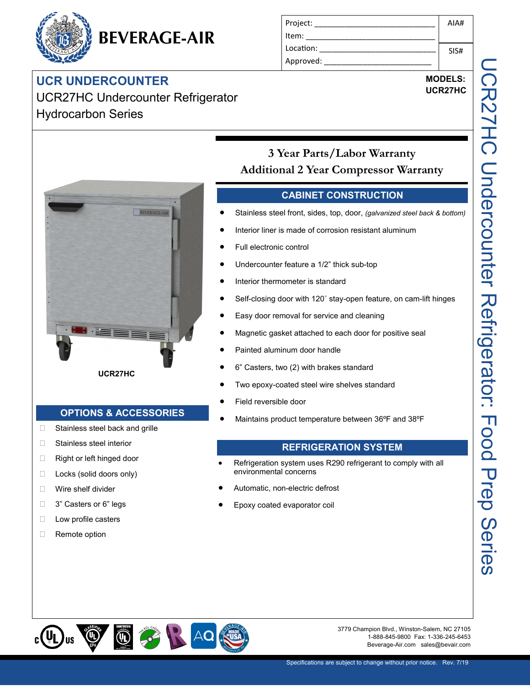# BEVERAGE-AIR

## **UCR UNDERCOUNTER** UCR27HC Undercounter Refrigerator Hydrocarbon Series

| Project:  | AIA# |
|-----------|------|
| Item:     |      |
| Location: | SIS# |
| Approved: |      |

## **MODELS: UCR27HC**



**UCR27HC**

## **OPTIONS & ACCESSORIES**

- □ Stainless steel back and grille
- □ Stainless steel interior
- □ Right or left hinged door
- $\Box$  Locks (solid doors only)
- Wire shelf divider
- □ 3" Casters or 6" legs
- **Low profile casters**
- Remote option

## **CABINET CONSTRUCTION**

**3 Year Parts/Labor Warranty Additional 2 Year Compressor Warranty**

- Stainless steel front, sides, top, door, *(galvanized steel back & bottom)*
- Interior liner is made of corrosion resistant aluminum
- Full electronic control
- Undercounter feature a 1/2" thick sub-top
- Interior thermometer is standard
- Self-closing door with 120˚ stay-open feature, on cam-lift hinges
- Easy door removal for service and cleaning
- Magnetic gasket attached to each door for positive seal
- Painted aluminum door handle
- 6" Casters, two (2) with brakes standard
- Two epoxy-coated steel wire shelves standard
- Field reversible door
- Maintains product temperature between 36ºF and 38ºF

## **REFRIGERATION SYSTEM**

- Refrigeration system uses R290 refrigerant to comply with all environmental concerns
- Automatic, non-electric defrost
- Epoxy coated evaporator coil



3779 Champion Blvd., Winston-Salem, NC 27105 1-888-845-9800 Fax: 1-336-245-6453 Beverage-Air.com sales@bevair.com